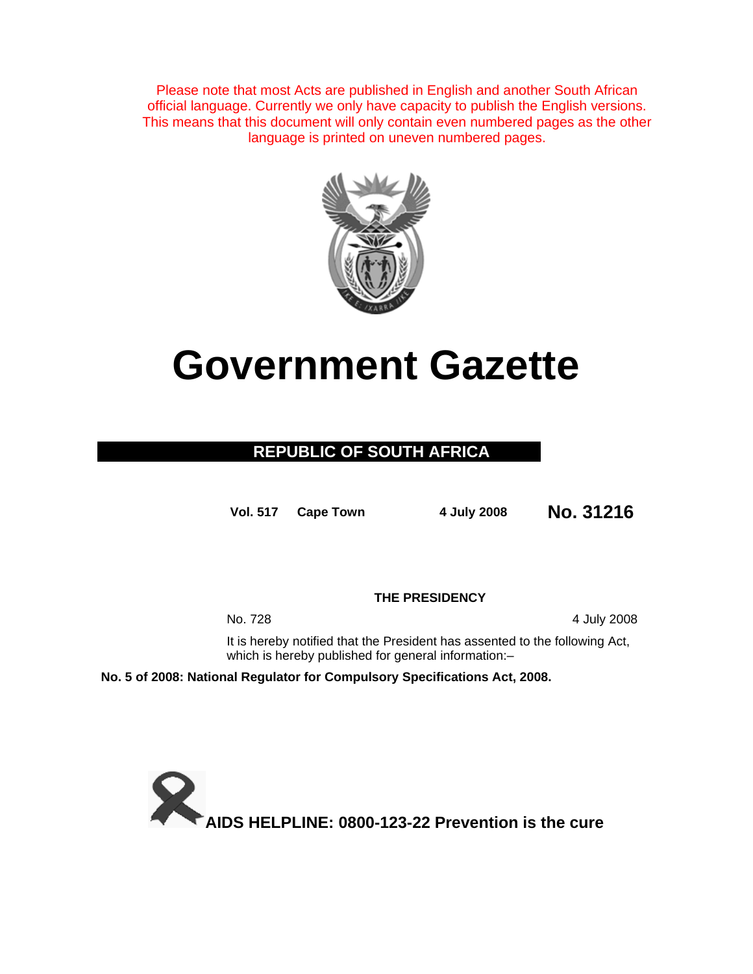Please note that most Acts are published in English and another South African official language. Currently we only have capacity to publish the English versions. This means that this document will only contain even numbered pages as the other language is printed on uneven numbered pages.



# **Government Gazette**

## **REPUBLIC OF SOUTH AFRICA**

**Vol. 517 Cape Town 4 July 2008 No. 31216**

**THE PRESIDENCY** 

No. 728 4 July 2008

It is hereby notified that the President has assented to the following Act, which is hereby published for general information:-

**No. 5 of 2008: National Regulator for Compulsory Specifications Act, 2008.** 

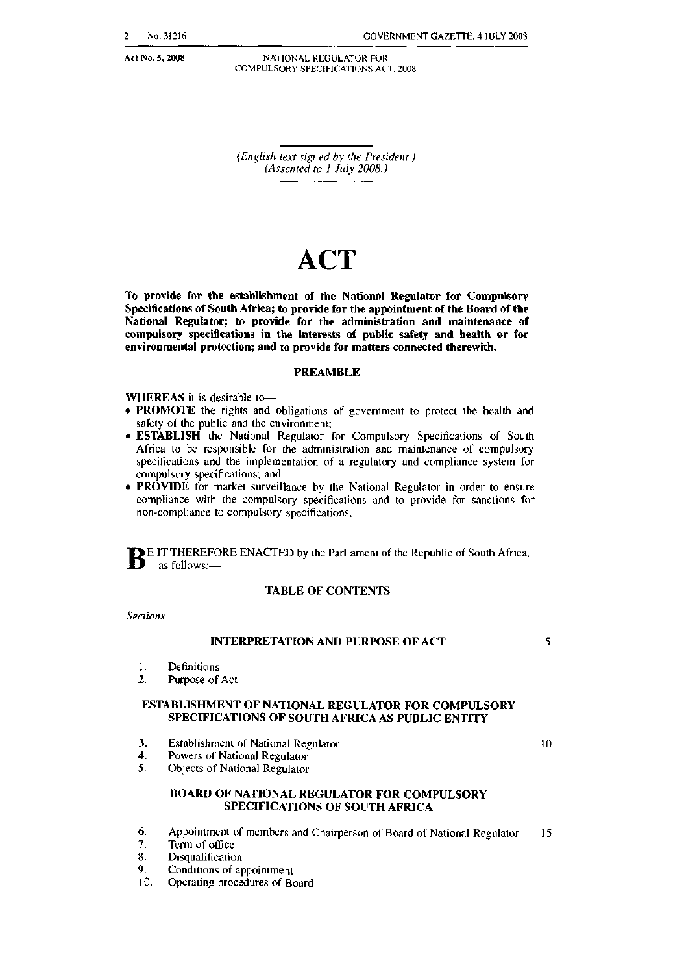Act No. 5, 2008

GOVERNMENT GAZETTE, 4 JULY 2008

NAT10NAL REGULATOR FOR COMPULSORY SPECIFICATIONS ACT. 2008

 *(Ellglish text signed by the President.) (Assented to* J *July 2008.)*

## **ACT**

To provide for the establishment of the National Regulator for Compulsory Specifications of South Africa; to provide for the appointment of the Board of the National Regulator; 10 provide for the administration and maintenance of compulsory specifications in the interests of public safety and health or for environmental protection; and to provide for matters connected therewith.

#### PREAMBLE

WHEREAS it is desirable to-

- PROMOTE the rights and obligations of government to protect the health and safety of the public and the environment;
- ESTABLISH the National Regulator for Compulsory Specifications of South Africa to be responsible for the administration and maintenance of compulsory specifications and the implementation of a regulatory and compliance system for compulsory specificalions; and
- **PROVIDE** for market surveillance by the National Regulator in order to ensure compliance with the compulsory specifications and to provide for sanctions for non-compliance to compulsory specifications,

**BE IT THEREFORE ENACTED by the Parliament of the Republic of South Africa,** as follows: $-$ 

#### TABLE OF CONTENTS

*Sections*

#### INTERPRETATION AND PURPOSE OF ACT

1. Definitions

2. Purpose of Act

#### ESTABLISHMENT OF NATIONAL REGULATOR FOR COMPULSORY SPECIFICATIONS OF SOUTH AFRICA AS PUBLIC ENTITY

- 3. Establishment of National Regulator
- 4. Powers of National Regulator
- 5. Objects of National Regulator

#### BOARD OF NATIONAL REGULATOR FOR COMPULSORY SPECIFICATIONS OF SOUTH AFRICA

- 6. Appointment of members and Chairperson of Board of National Regulator 15
- Term of office
- 8. Disqualification
- 9. Conditions of appointment
- 10. Operating procedures of Board

10

5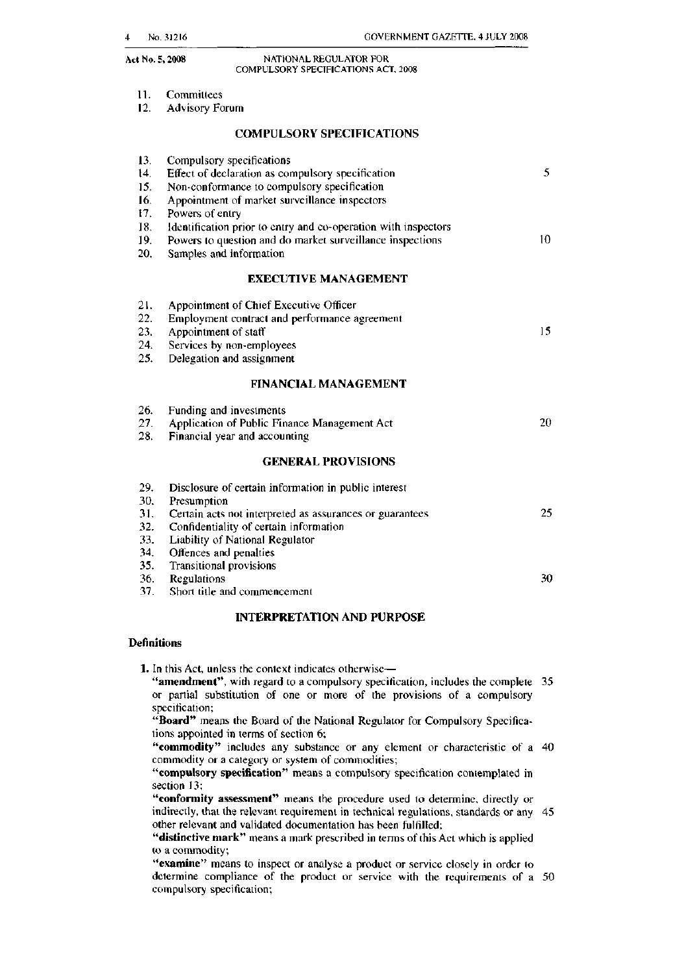#### Act No.5, 2008 NATIONAL REGULATOR FOR COMPULSORY SPECIFICATIONS ACT, 2008

| 11. |  |  | Committees |
|-----|--|--|------------|
|-----|--|--|------------|

12. Advisory Forum

13. Compulsory specifications

#### COMPULSORY SPECIFICATIONS

| 14. | Effect of declaration as compulsory specification              | 5. |
|-----|----------------------------------------------------------------|----|
| 15. | Non-conformance to compulsory specification                    |    |
| 16. | Appointment of market surveillance inspectors                  |    |
| 17. | Powers of entry                                                |    |
| 18. | Identification prior to entry and co-operation with inspectors |    |
| 19. | Powers to question and do market surveillance inspections      | 10 |
| 20. | Samples and information                                        |    |
|     | <b>EXECUTIVE MANAGEMENT</b>                                    |    |
| 21. | Appointment of Chief Executive Officer                         |    |
| 22. | Employment contract and performance agreement                  |    |
| 23. | Appointment of staff                                           | 15 |
| 24. | Services by non-employees                                      |    |
| 25. | Delegation and assignment                                      |    |
|     | <b>FINANCIAL MANAGEMENT</b>                                    |    |
| 26. | Funding and investments                                        |    |
| 27. | Application of Public Finance Management Act                   | 20 |
| 28. | Financial year and accounting                                  |    |
|     | <b>GENERAL PROVISIONS</b>                                      |    |
| 29. | Disclosure of certain information in public interest           |    |
| 30. | Presumption                                                    |    |
| 31. | Certain acts not interpreted as assurances or guarantees       | 25 |
| 32. | Confidentiality of certain information                         |    |
| 33. | Liability of National Regulator                                |    |
| 34. | Offences and penalties                                         |    |
| 35. | Transitional provisions                                        |    |
| 36. | Regulations                                                    | 30 |

37. Short title and commencement

#### INTERPRETATION AND PURPOSE

#### **Definitions**

1. In this Act, unless the context indicates otherwise-

"amendment", with regard to a compulsory specification, includes the complete 35 or panial substitution of one or more of the provisions of a compulsory specification;

"Board" means the Board of the National Regulator for Compulsory Specifications appointed in terms of section 6;

"commodity" includes any substance or any element or characteristic of a 40 commodity or a category or system of commodities:

"compulsory specification" means a compulsory specification contemplated in section 13;

"conformity assessment" means the procedure used to determine, directly or indirectly, that the relevant requirement in technical regulations, standards or any 45 other relevant and validated documentation has been fulfilled;

"distinctive mark" means a mark prescribed in terms of this Act which is applied to a commodity;

"examine" means to inspect or analyse a product or service closely in order to determine compliance of the product or service with the requirements of a 50 compulsory specification;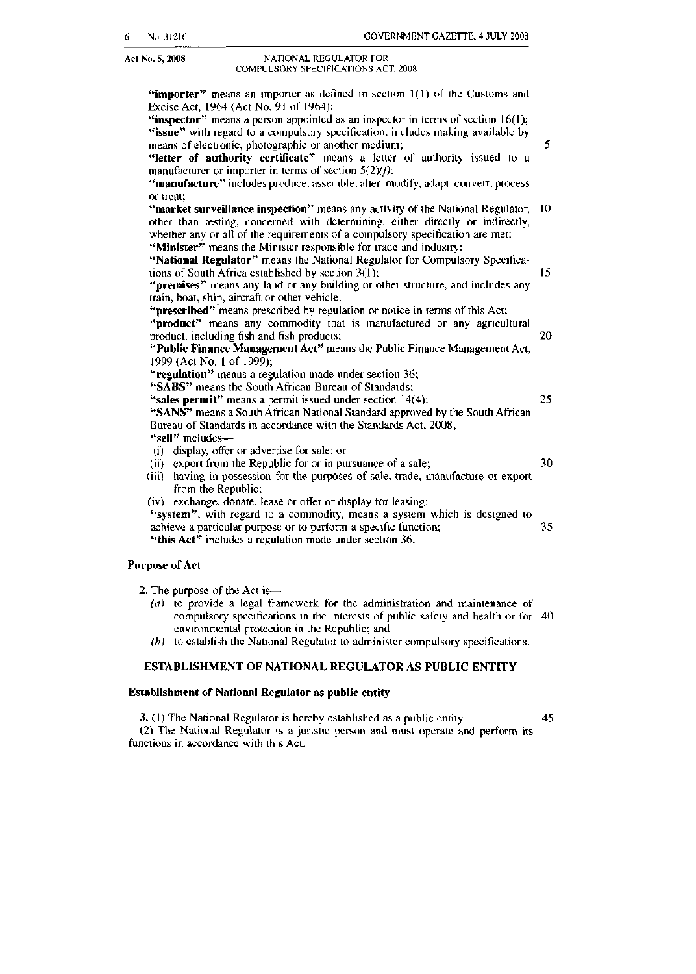#### Act No. 5, 2008 NATIONAL REGULATOR FOR COMPULSORY SPECIFICATIONS ACT. 2008

| "importer" means an importer as defined in section 1(1) of the Customs and                                                                                            |    |
|-----------------------------------------------------------------------------------------------------------------------------------------------------------------------|----|
| Excise Act, 1964 (Act No. 91 of 1964);                                                                                                                                |    |
| "inspector" means a person appointed as an inspector in terms of section $16(1)$ ;<br>"issue" with regard to a compulsory specification, includes making available by |    |
| means of electronic, photographic or another medium;                                                                                                                  | 5  |
| "letter of authority certificate" means a letter of authority issued to a                                                                                             |    |
| manufacturer or importer in terms of section $5(2)(f)$ ;                                                                                                              |    |
| "manufacture" includes produce, assemble, alter, modify, adapt, convert, process                                                                                      |    |
| or treat;                                                                                                                                                             |    |
| "market surveillance inspection" means any activity of the National Regulator,                                                                                        | 10 |
| other than testing, concerned with determining, either directly or indirectly,                                                                                        |    |
| whether any or all of the requirements of a compulsory specification are met;                                                                                         |    |
| "Minister" means the Minister responsible for trade and industry;                                                                                                     |    |
| "National Regulator" means the National Regulator for Compulsory Specifica-                                                                                           |    |
| tions of South Africa established by section 3(1);                                                                                                                    | 15 |
| "premises" means any land or any building or other structure, and includes any                                                                                        |    |
| train, boat, ship, aircraft or other vehicle;                                                                                                                         |    |
| "prescribed" means prescribed by regulation or notice in terms of this Act;                                                                                           |    |
| "product" means any commodity that is manufactured or any agricultural                                                                                                |    |
| product, including fish and fish products;                                                                                                                            | 20 |
| "Public Finance Management Act" means the Public Finance Management Act,<br>1999 (Act No. 1 of 1999);                                                                 |    |
| "regulation" means a regulation made under section 36;                                                                                                                |    |
| "SABS" means the South African Bureau of Standards;                                                                                                                   |    |
| "sales permit" means a permit issued under section 14(4);                                                                                                             | 25 |
| "SANS" means a South African National Standard approved by the South African                                                                                          |    |
| Bureau of Standards in accordance with the Standards Act, 2008;                                                                                                       |    |
| "sell" includes--                                                                                                                                                     |    |
| (i) display, offer or advertise for sale; or                                                                                                                          |    |
| (ii) export from the Republic for or in pursuance of a sale;                                                                                                          | 30 |
| (iii) having in possession for the purposes of sale, trade, manufacture or export                                                                                     |    |
| from the Republic;                                                                                                                                                    |    |
| (iv) exchange, donate, lease or offer or display for leasing;                                                                                                         |    |
| "system", with regard to a commodity, means a system which is designed to                                                                                             |    |
| achieve a particular purpose or to perform a specific function;                                                                                                       | 35 |
| "this Act" includes a regulation made under section 36.                                                                                                               |    |
| <b>Purpose of Act</b>                                                                                                                                                 |    |
| 2. The purpose of the Act is—                                                                                                                                         |    |

(a) to provide a legal framework for the administration and maintenance of compulsory specifications in the interests of public safety and health or for 40 environmental protection in the Republic; and

(b) to establish the National Regulator to administer compulsory specifications.

### ESTABLISHMENT OF NATIONAL REGULATOR AS PUBLIC ENTITY

#### Establishment of National Regulator as public entity

3. (1) The National Regulator is hereby established as a public entity. 45 (2) The National Regulator is a juristic person and must operate and perform its functions in accordance wilh this Act.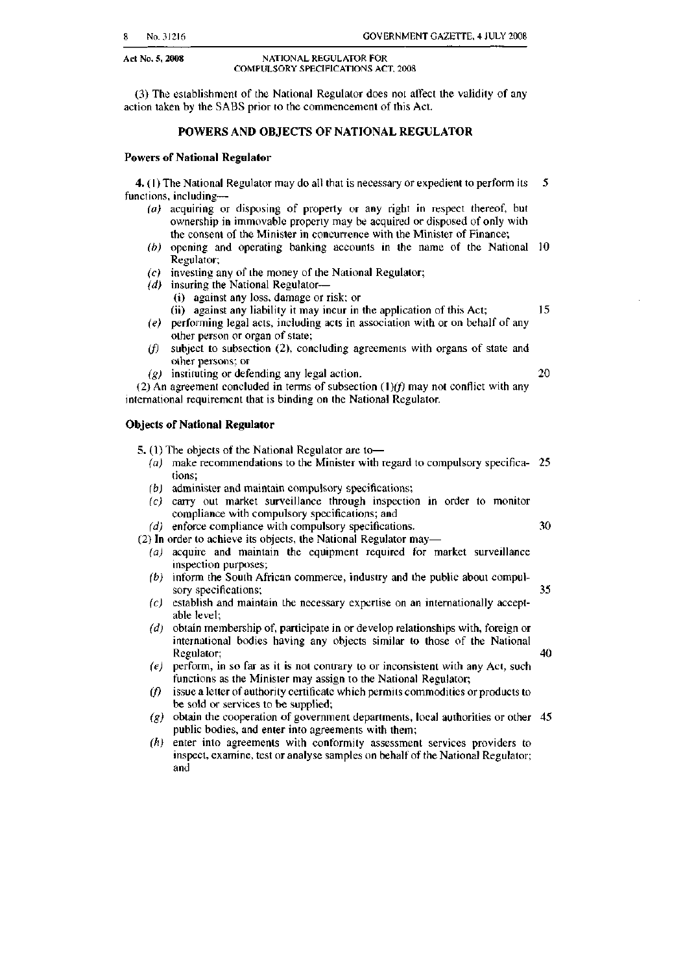#### Act No. 5, 2008 NATIONAL REGULATOR FOR COMPULSORY SPECIFICATIONS ACT, 2008

(3) The establishment of the National Regulator does not affect the validity of any action taken by the SABS prior to the commencement of this Act.

#### POWERS AND OBJECTS OF NATIONAL REGULATOR

#### Powers of National Regulator

**4.** (1) The National Regulator may do all that is necessary or expedient to perform its  $\overline{5}$ functions, including-

- $(a)$  acquiring or disposing of property or any right in respect thereof, but ownership in immovable property may be acquired or disposed of only with the consent of the Minister in concurrence with the Minister of Finance;
- (b) opening and operating banking accounts in Ihe name of the National 10 Regulator;
- (c) investing any of the money of the National Regulator;
- $(d)$  insuring the National Regulator-
	- (i) against any loss, damage or risk; or

(ii) against any liability it may incur in the application of this Act;  $15$ 

- $(e)$  performing legal acts, including acts in association with or on behalf of any other person or organ of state;
- $if)$  subject to subsection (2), concluding agreements with organs of state and other persons; or
- ( $g$ ) instituting or defending any legal action. 20

(2) An agreement concluded in terms of subsection  $(1)(f)$  may not conflict with any international requirement that is binding on the National Regulator.

#### Objects of National Regulator

5, (1) The objects of the National Regulator are to-

- (a) make recommendations to the Minister with regard to compulsory specifica- 25 tions;
- (b) administer and maintain compulsory specifications;
- (c) carry out market surveillance through inspection in order to monitor compliance with compulsory specifications; and
- $(d)$  enforce compliance with compulsory specifications.  $30$
- (2) In order to achieve its objects, the National Regulator may-(a) acquire and maintain the equipment required for market surveillance
	- inspection purposes;  $(b)$  inform the South African commerce, industry and the public about compul-
	- sory specifications; 35
	- $(c)$  establish and maintain the necessary expertise on an internationally acceptable level;
	- $(d)$  obtain membership of, participate in or develop relationships with, foreign or international bodies having any objects similar to those of the National Regulator; 40
	- $(e)$  perform, in so far as it is not contrary to or inconsistent with any Act, such functions as the Minister may assign to the National Regulator;
	- $(f)$  issue a letter of authority certificate which permits commodities or products to be sold or services to be supplied;
	- (g) obtain the cooperation of government departments, local authorities or other 45 public bodies, and enter into agreements with them;
	- (h) enter into agreements with conformity assessment services providers to inspect, examine, test or analyse samples on behalf of the National Regulator; and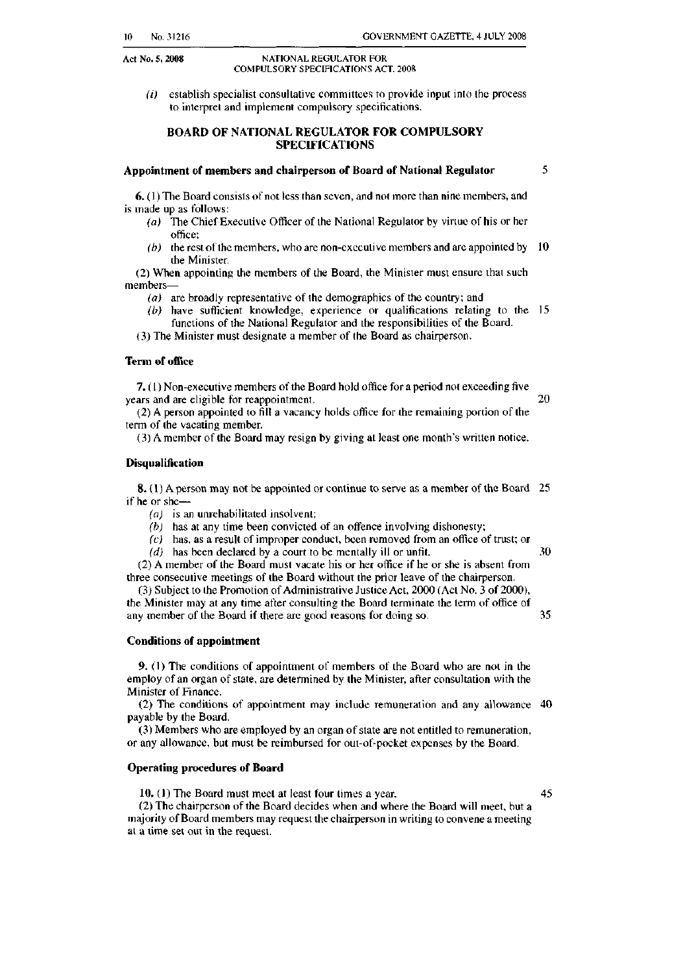#### Act No.5, 2008 NATIONAL REGULATOR FOR COMPULSORY SPECIFICATIONS ACT. 2008

 $(i)$  establish specialist consultative committees to provide input into the process 10 interpret and implement compulsory specifications.

#### BOARD OF NATIONAL REGULATOR FOR COMPULSORY SPECIFICATIONS

## Appointment of members and chairperson of Board of National Regulator 5

6. (I) The Board consists of nat less than seven, and not more than nine members, and is made up as follows:

- *(a)* The Chief Executive Officer of the National Regulator by virtue of his or her office;
- (b) the rest of the members, who are non-executive members and are appointed by  $10$ the Minister.

(2) When appointing the members of the Board, the Minister must ensure that such members-

- $(a)$  are broadly representative of the demographics of the country; and
- (b) have sufticient knowledge, experience or qualifications relating to the 15 functions of the National Regulator and the responsibilities of the Board.

(3) The Minister must designate a member of the Board as chairperson.

#### Term of office

 7. (1) Non-executive members of the Board hold office for a period not exceeding five years and are eligible for reappointment. 20

 (2) A person appointed to fill a vacancy holds office for Ihe remaining portion of the term of the vacating member,

(3) A member of the Board may resign by giving at least one month's written notice,

#### **Disqualification**

8. (1) A person may not be appointed or continue to serve as a member of the Board 25 if he or she-

(a) is an unrehabilitated insolvent;

- $(b)$  has at any time been convicted of an offence involving dishonesty;
- (c) has, as a result of improper conduct, been removed from an office of trust; or

 $(d)$  has been declared by a court to be mentally ill or unfit.  $30$ 

(2) A member of the Board must vacate his or her office if he or she is absent from three consecutive meetings of the Board without the prior leave of the chairperson,

(3) Subject to Ihe Promotion ofAdministrative Justice Act 2000 (Aci No, 3 of 2000), the Minister may at any time after consulting the Board terminate the term of office of any member of the Board if there arc good reasons for doing so. 35

#### Conditions of appointment

9. (I) The conditions of appointment of members of the Board who are not in the employ of an organ of state, are determined by the Minister, after consultation with the Minister of Finance.

(2) The conditions of appointment may include remuneration and any allowance 40 payable by the Board.

(3) Members who are employed by an organ of state are not entitled to remuneration, or any allowance, but must be reimbursed for out-of-pocket expenses by Ihe Board,

#### Operating procedures of Board

10. (I) The Board must meet at least four times a year. 45

 (2) The chairperson of the Board decides when and where the Board will meet, out a majority of Board members may request the chairperson in writing to convene a meeting at a time set out in the request.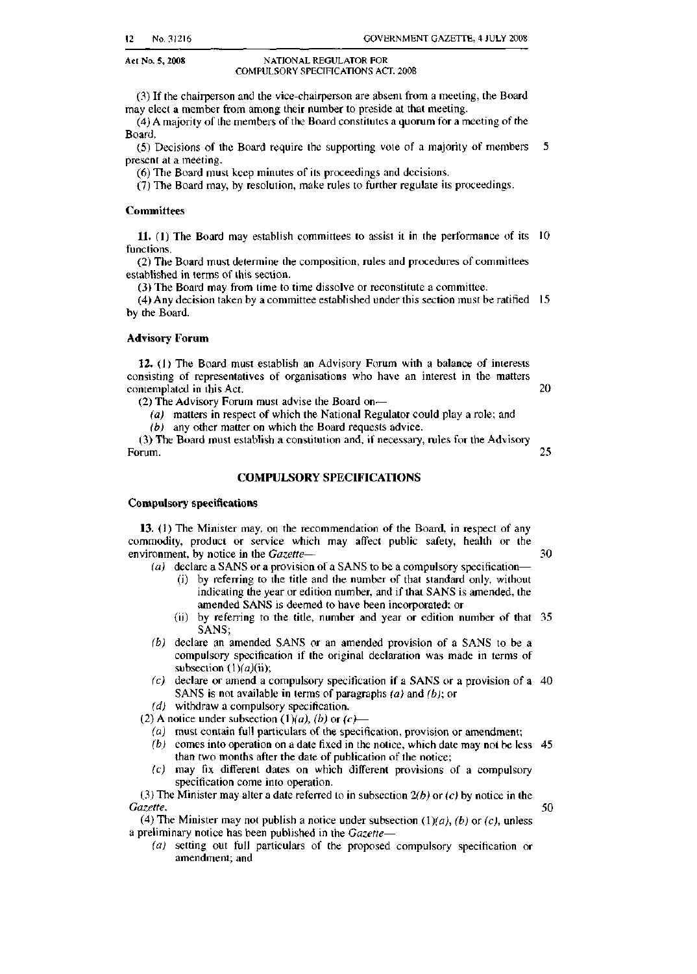#### Act No. 5, 2008 NATIONAL REGULATOR FOR COMPULSORY SPECIFICATIONS *ACT.* 200B

 0) If Ihe chairperson and the vice-chairperson are absent from <sup>a</sup> meeting, the Board may elect a member from among their number to preside at that meeting.

(4) A majority of the members of the Board constitutes a quorum for a meeting of the Board,

 (5) Decisions of the Board require thc supporting vole of a majority of members 5 present at a meeting.

(6) The Board must keep minutes of its proceedings and decisions.

(7) The Board may, by resolution, make rules to further regulate its proceedings.

#### Committees

**11.** (1) The Board may establish committees to assist it in the performance of its  $10$ functions.

(2) The Board must determine the composition, rules and procedures of committees established in terms of this section.

(3) The Board may from time to time dissolve or reconstitute a committee.

(4) Any decision taken by a committee established under this section must be ratified 15 by the Board.

#### Advisory Forum

Compulsory spedfications

12. (l) The Board must establish an Advisory Forum with a balance of interests consisting of representatives of organisations who have an interest in the matters contemplated in this Act. 20

(2) The Advisory Forum must advise the Board on-

(a) matters in respect of which the National Regulator could play a role; and (b) any other matter on which the Board requests advice.

(3) The Board must establish a constitution and, if necessary, rules for the Advisory Forum. 25

COMPULSORY SPECIFICATIONS

13. (I) The Minister may, on the recommendation of the Board, in respect of any

commodity, product or service which may affect public safety, health or the environment, by notice in the *Gazette*- **30** 

- (a) declare a SANS or a provision of a SANS to be a compulsory specification-
	- (i) by referring to the title and the number of that standard only, without indicating the year or edition number, and if that SANS is amended, the amended SANS is deemed to have been incorporated: or
	- (ij) by referring to the title, number and year or edition number of that 35 SANS,
- (b) declare an amended SANS or an amended provision of a SANS to be a subsection  $(1)(a)(ii)$ ; compulsory specification if the original declaration was made in terms of
- (c) declare or amend a compulsory specification if a SANS or a provision of a 40 SANS is not available in terms of paragraphs  $(a)$  and  $(b)$ ; or
- (d) withdraw a compulsory specification.

(2) A notice under subsection  $(1)(a)$ ,  $(b)$  or  $(c)$ -

- (a) must contain full particulars of the specification, provision or amendment;
- $(b)$  comes into operation on a date fixed in the notice, which date may not be less 45 than two months after the date of publication of the notice;
- (c) may fix different dates on which different provisions of a compulsory specification come into operation.

(3) The Minister may alter a date referred to in subsection  $2(b)$  or  $(c)$  by notice in the *Gazette. 50*

(4) The Minister may not publish a notice under subsection  $(1)(a)$ ,  $(b)$  or  $(c)$ , unless a preliminary notice has been published in the *Gazerte-*

(a) setting out full particulars of the proposed compulsory specification or amendment; and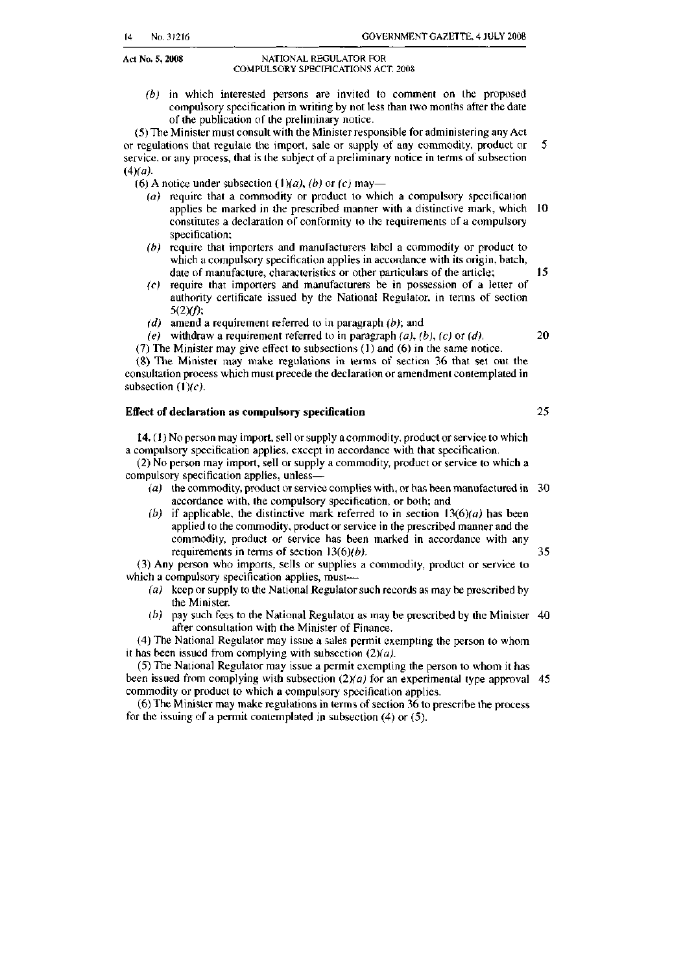#### Act No. 5, 2008 NATIONAL REGULATOR FOR COMPULSORY SPECIFICATIONS ACT. 2008

 of the publication of the preliminary notice. (b) in which inlcrested persons arc invited to comment on the proposed compulsory specification in writing by not less than two months after the date

 or regulations that regulate the import, sale or supply of any commodity, product or 5 (5) The Minister must consult with the Minister responsible for administering any Act service. or any process, that is the subject of a preliminary notice in terms of subsection  $(4)(a)$ .

(6) A notice under subsection  $(1)(a)$ ,  $(b)$  or  $(c)$  may-

- $(a)$  require that a commodity or product to which a compulsory specification applies be marked in the prescribed manner with a distinctive mark, which 10 constitutes a declaration of conformity to the requirements of a compulsory specification:
- $(b)$  require that importers and manufacturers label a commodity or product to which a compulsory specification applies in accordance with its origin, batch, date of manufacture, characteristics or other particulars of the article; 15
- (c) require that importers and manufacturers be in possession of a letter of authority certificate issued by the National Regulator. in tenns of section *5(2)(fi;*
- (d) amend a requirement referred to in paragraph  $(b)$ ; and
- (e) withdraw a requirement referred to in paragraph  $(a)$ ,  $(b)$ ,  $(c)$  or  $(d)$ . 20

(7) The Minister may give effect to subsections (1) and (6) in the same notice.

 $subsection (1)(c)$ . (8) The Minister may make regulations in terms of section 36 that set out the consultation process which must precede the declaration or amendment contemplated in

#### Effect of declaration as compulsory specification 25

14.  $(1)$  No person may import, sell or supply a commodity, product or service to which a compulsory specification applies, except in accordance with that specification.

 (2) No person may import, sell or supply a commodity, product or service to which a compulsory specification applies, unless-

- (a) the commodity, product or service complies with, or has been manufactured in  $30$ accordance with, the compulsory specification, or both: and
- (b) if applicable, the distinctive mark referred to in section  $13(6)(a)$  has been applied to the commodity, product or service in the prescribed manner and the commodity, product or service has been marked in accordance with any requirements in terms of section  $13(6)(b)$ . 35

(3) Any person who imports, sells or supplies a commodity, product or service to which a compulsory specification applies, must---

- (a) keep or supply to the National Regulator such records as may be prescribed by the Minister.
- (b) pay such fees to the National Regulator as may be prescribed by the Minister  $40$ after consultation with the Minister of Finance.

it has been issued from complying with subsection  $(2)(a)$ . (4) The National Regulator may issue a sales permit exempting the person to whom

(5) The National Regulator may issue a permit exempting the person 10 whom il has been issued from complying with subsection  $(2)(a)$  for an experimental type approval 45 commodity or product to which a compulsory specification applies.

(6) The Minister may make regulations in terms ofsection 36 to prescribe the process for the issuing of a permit contemplated in subsection  $(4)$  or  $(5)$ .

14 No,31216 GOVERNMENT GAZETTE, 4 JULY 2008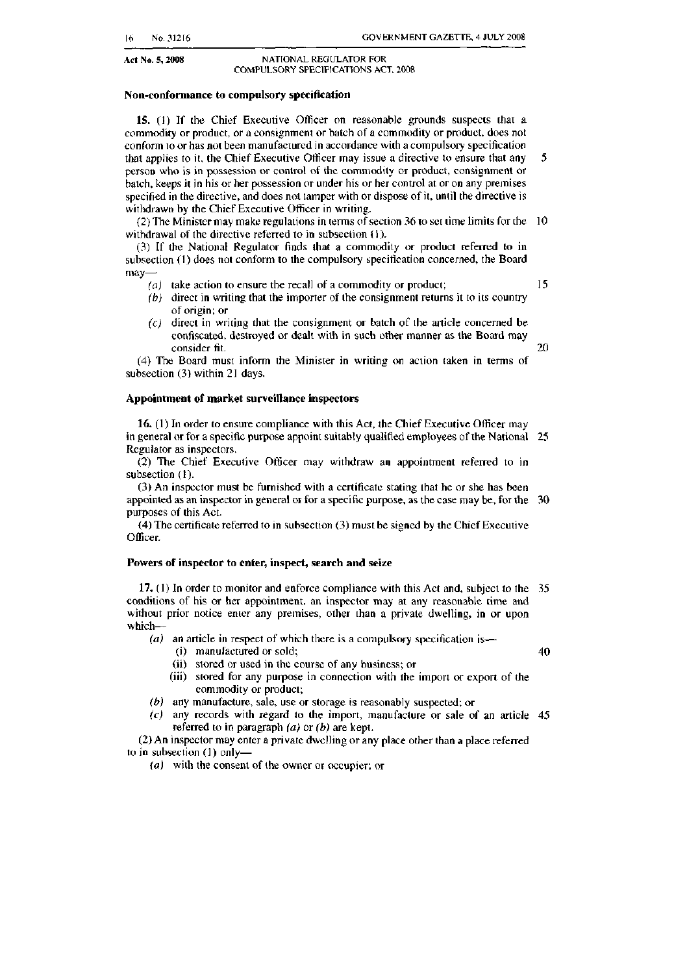#### Act No. 5, 2008 NATIONAL REGULATOR FOR COMPULSORY SPECIFlCAT10NS ACT. 2008

#### Non-conformance to compulsory specification

 15. (I) If the Chief Executive Officer on reasonable grounds suspects that a that applies to it, the Chief Executive Officer may issue a directive to ensure that any  $5$ commodity or product, or a consignment or batch of a commodity or product. does not conform to or has not been manufactured in accordance with a compulsory specification person who is in possession or control of the commodity or product, consignment or batch, keeps it in his or her possession or under his or her control at or on any premises specified in the directive, and does not tamper with or dispose of it, until the directive is withdrawn by the Chief Executive Officer in writing.

 $(2)$  The Minister may make regulations in terms of section 36 to set time limits for the 10 withdrawal of the directive referred to in subsection (1).

(3) If the National Regulator finds that a commodity or product referred to in subsection (1) does not conform to the compulsory specification concerned, the Board may-

- (a) take action to ensure the recall of a commodity or product;  $15$
- (b) direct in writing that the importer of the consignment returns it to its country of origin; or
- $(c)$  direct in writing that the consignment or batch of the article concerned be confiscated, destroyed or dealt with in such other manner as the Board may consider fit. 20

(4) The Board must inform the Minister in writing on action taken in terms of subsection (3) within 21 days.

#### Appointment of market surveillance inspectors

16, (I) In order to ensure compliance with this Act, Ihe Chief Executive Officer may in general or for a specific purpose appoint suitably qualified employees of the National 25 Regulator as inspectors.

(2) The Chief Executive Officer may withdraw an appointment referred to in subsection (I).

(3) An inspector must be furnished with a certificate stating that he or she has been appointed as an inspector in general or for a specific purpose, as the case may be, for the 30 purposes of this Act.

 $(4)$  The certificate referred to in subsection  $(3)$  must be signed by the Chief Executive Officer.

#### Powers of inspector to enter, inspect, search and seize

17. (I) In order to monitor and enforce compliance with this Act and, subject to the 35 conditions of his or her appointment, an inspector may at any reasonable time and without prior notice enter any premises, other than a private dwelling, in or upon which-

- ( $a$ ) an article in respect of which there is a compulsory specification is-
	- (i) manufactured or sold; 40
	- (ii) stored or used in the course of any business; or
	- (iii) stored for any purpose in connection with the import or export of the commodity or product;
- (b) any manufacture, sale, use or storage is reasonably suspected; or
- (e) any records with regard to the import, manufacture or sale of an article 45 referred to in paragraph  $(a)$  or  $(b)$  are kept.

(2)An inspector may enter a private dwelling or any place other than a place referred to in subsection (1) only-

{oJ wilh the consent of the owner or occupier; or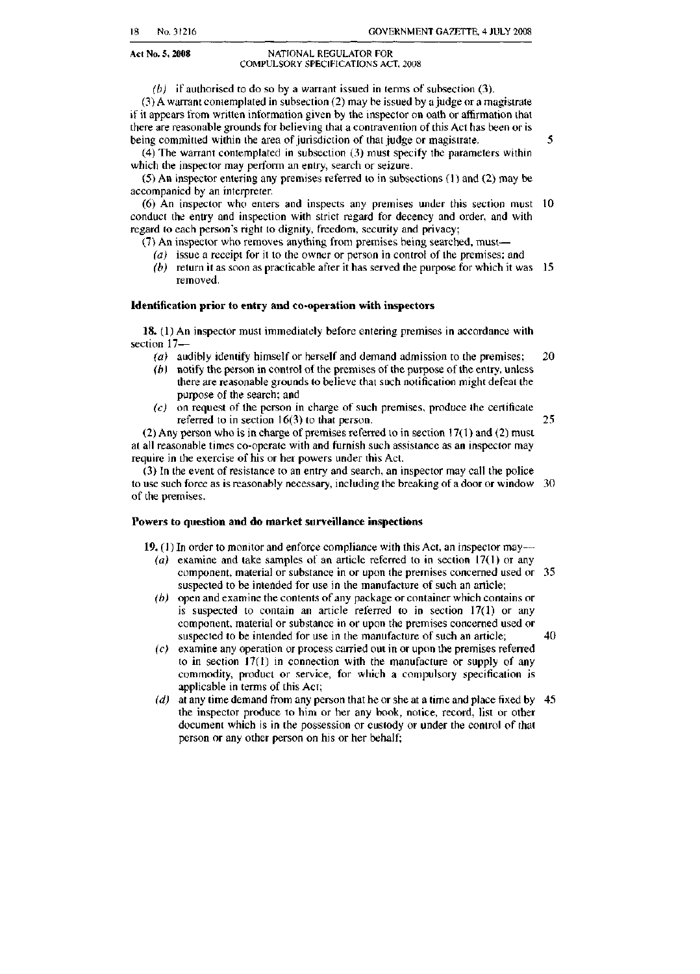#### Act No. 5, 2008 NATIONAL REGULATOR FOR COMPULSORY SPECIHCATIONS ACT. 2008

(b) if authorised to do so by a warrant issued in terms of subsection  $(3)$ ,

being committed within the area of jurisdiction of that judge or magistrate. 5  $(3)$  A warrant contemplated in subsection  $(2)$  may be issued by a judge or a magistrate if it appears from written information given by the inspector on oath or affirmation that there are reasonable grounds for believing that a contravention of this Act has been or is

(4) The warrant contemplated in subsection (3) must specify the parameters within which the inspector may perform an entry, search or seizure.

(5) An inspector entering any premises referred (0 in subsections (I) and (2) may be accompanied by an interpreter.

(6) An inspector who enters and inspects any premises under this section must 10 conduct the entry and inspection with strict regard for decency and order, and with regard to each person's right to dignity, freedom, security and privacy;

 $(7)$  An inspector who removes anything from premises being searched, must-

- (a) issue a receipt for it to the owner or person in control of the premises; and (b) return it as soon as practicable after it has served the purpose for which it was  $15$
- removed.

#### Identification prior to entry and co-operation with inspectors

18. (1) An inspector must immediately beforc entering premises in accordance with section 17-

- (a) audibly identify himself or herself and demand admission to the premises:  $20$
- (b) notify the person in control of the premises of the purpose of the entry, unless there are reasonable grounds to believe that such notification might defeat the purpose of the search; and
- $(c)$  on request of the person in charge of such premises, produce the certificate referred to in section 16(3) to that person. 25

(2) Any person who is in charge of premises referred to in section 17(1) and (2) must at all reasonable times co-operate with and furnish such assistance as an inspector may require in the exercise of his or her powers under this Act.

(3) In the event of resistance to an entry and search, an inspector may call the police to use such force as is reasonably necessary, including the breaking of a door or window 30 of the premises.

#### Powers to question and do market surveillance inspections

19. (I) In order to monitor and enforce compliance with this Act, an inspector may-

- (a) examine and take samples of an article referred to in section 17(1) or any component. material or substance in or upon the premises concerned used or 35 suspected to be intended for use in the manufacture of such an article;
- (b) opcn and examine the contents of any package or containcr which comains or is suspected to contain an article referred to in section 17(1) or any component, material or substance in or upon the premises concerned used or suspected to be intended for use in the manufacture of such an article; 40
- (c) examine any operation or process carried out in or upon the premises referred to in section 17(1) in connection with the manufacture or supply of any commodity, product or service, for which a compulsory specification is applicable in terms of this Act;
- (d) at any time demand from any person that he or she at a time and place fixed by  $45$ the inspector produce to him or her any hook, notice, record, list or other document which is in the possession or custody or under the control of that person or any other person on his or her behalf;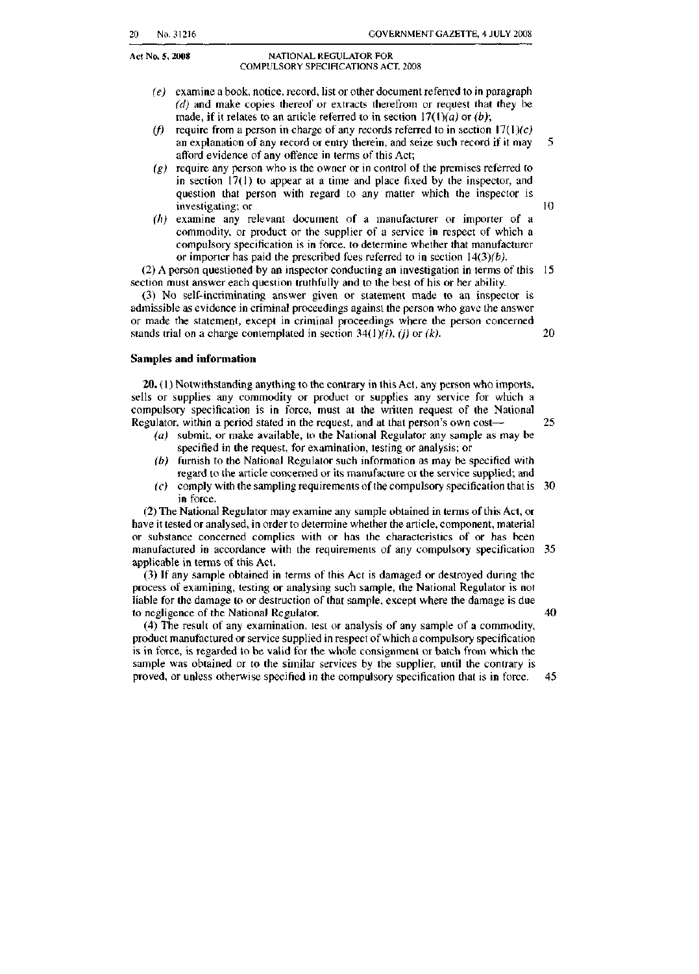#### Act No. *S, 2008* NATIONAL REGULATOR FOR COMPULSORY SPECIFICATIONS ACT. 2008

- made, if it relates to an article referred to in section  $17(1)(a)$  or  $(b)$ ;  $(e)$  examine a book, notice, record, list or other document referred to in paragraph  $(d)$  and make copies thereof or extracts therefrom or request that they be
- (f) require from a person in charge of any records referred to in section  $17(1)(c)$  an explanation of any record or entry therein, and seize such record if it may 5 afford evidence of any offence in terms of this Act;
- $(g)$  require any person who is the owner or in control of the premises referred to in section  $17(1)$  to appear at a time and place fixed by the inspector, and question that person with regard to any matter which the inspector is investigating; or 10
- $(h)$  examine any relevant document of a manufacturer or importer of a commodity, or product or the supplier of a service in respect of which a compulsory specification is in force. to determine whether that manufacturer or importer has paid the prescribed fees referred to in section  $14(3)(b)$ .

(2) A person questioned by an inspector conducting an investigation in terms of this 15 section must answer each question truthfully and to the best of his or her ability.

(3) No self-incriminating answer given or statement made to an inspector is admissible as evidence in criminal proceedings against the person who gave the answer or made the statement, except in criminal proceedings where the person concerned stands trial on a charge contemplated in section  $34(1)(i)$ , (i) or (k). 20

#### Samples and information

 sells or supplies any commodity or product or supplies any service for which a 20. (1) Notwithstanding anything to the contrary in this Act, any person who imports, compulsory specification is in force, must at the written request of the National Regulator, within a period stated in the request, and at that person's own cost- $\sim$  25

- (a) submit, or make available, to the National Regulator any sample as may be specified in the request, for examination, testing or analysis; or
- $(b)$  furnish to the National Regulator such information as may be specified with regard to the article concerned or its manufacture or the service supplied; and
- $(c)$  comply with the sampling requirements of the compulsory specification that is 30 in force.

(2) The National Regulator may examine any sample obtained in terms of this Act, or have it tested or analysed, in order to determine whether the article. component, material or substance concerned complies with or has the characteristics of or has been manufactured in accordance with the requirements of any compulsory specification 35 applicable in terms of this Act.

(3) If any sample obtained in terms of this Act is damaged or destroyed during the process of examining, testing or analysing such sample, the National Regulator is not liable for thc damage to or destruction of that sample. except where the damage is due to negligence of the National Regulator. 40

(4) The result of any examination. test or analysis of any sample of a commodity, product manufactured or service supplied in respect of which a compulsory specification is in force. is regarded to be valid for the whole consignment or batch from which the sample was obtained or to the similar services by the supplier, until the contrary is proved, or unless otherwise specified in the compulsory specification that is in force. 45

20 No.31216 GOVERNMENT GAZETTE, 4 JULY 2008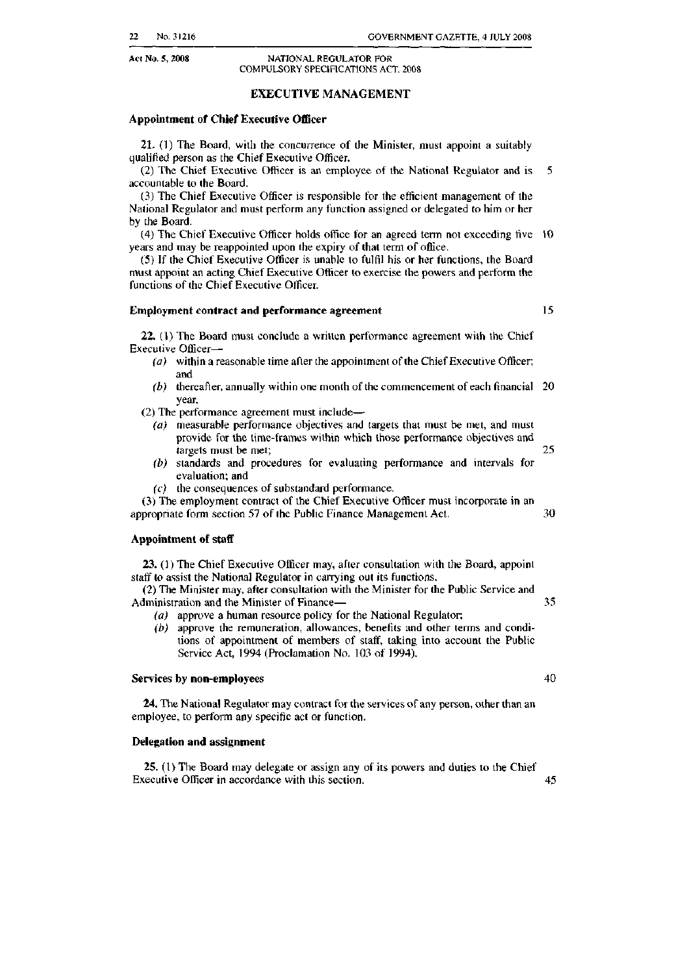#### Act No. *S, 2008* NATIONAL REGULATOR FOR COMPULSORY SPECIFICATIONS ACT. 2008

#### EXECUTIVE MANAGEMENT

#### Appointment of Chief Executive Oflicer

21. (1) The Board, with the concurrence of the Minister, must appoint a suitably qualified person as the Chief Executive Officer.

 (2) The Chief Executive Officer is an employee of the National Regulator and is 5 accountable to the Board.

(3) The Chief Executive Officer is responsihle for the efficient management of the National Regulator and must perform any function assigned or delegated to him or her by the Board.

(4) The Chief Executive Officer holds office for an agreed term not exceeding five 10 years and may be reappointed upon the expiry of thai term of office,

(5) If the Chief Executive Officer is unable to fulfil his or her functions, the Board must appoint an acting Chief Executive Officer to exercise the powers and perform the functions of the Chief Executive Officer.

#### Employment contract and performance agreement 15

22. (1) The Board must conclude a wrinen performance agreement with the Chicf Executive Officer-

- ( $a$ ) within a reasonable time after the appointment of the Chief Executive Officer; and
- (b) thereafter, annually within one month of the commencement of each financial 20 year.

(2) The performance agreement must include $-$ 

- (a) measurable performance objectives and targets that must be met, and must provide for the lime-frames within which lhose performance objectives and targets must be met; 25
- (b) standards and procedures for evaluating performance and intervals for evaluation; and
- $(c)$  the consequences of substandard performance.

(3) The employment contract of the Chief Executive Officer must incorporate in an appropriate fonn section 57 of the Public Finance Management Act. 30

#### Appointment of staff

23. (1) The Chief Executive Officer may, after consultation with the Board, appoint staff to assist the National Regulator in carrying out its functions.

(2) The Minister may, after consultation with the Minister for the Public Service and Administration and the Minister of Finance- 35

- (a) approve a human resource policy for the National Regulator;
- (b) approve the remuneration, allowances, benefits and other terms and conditions of appointment of members of staff, taking into account the Public Service Act, 1994 (Proclamation No. 103 of 1994).

#### Services by non-employees and the services of the services of the services of the services of the services of the services of the services of the services of the services of the services of the services of the services of

24. The National Regulator may contract for the services of any person, olher than an employee, to perform any specific act or function.

#### Delegation and assignment

25. (1) The Board may delegate or assign any of its powers and duties to the Chief Executive Officer in accordance with this section. 45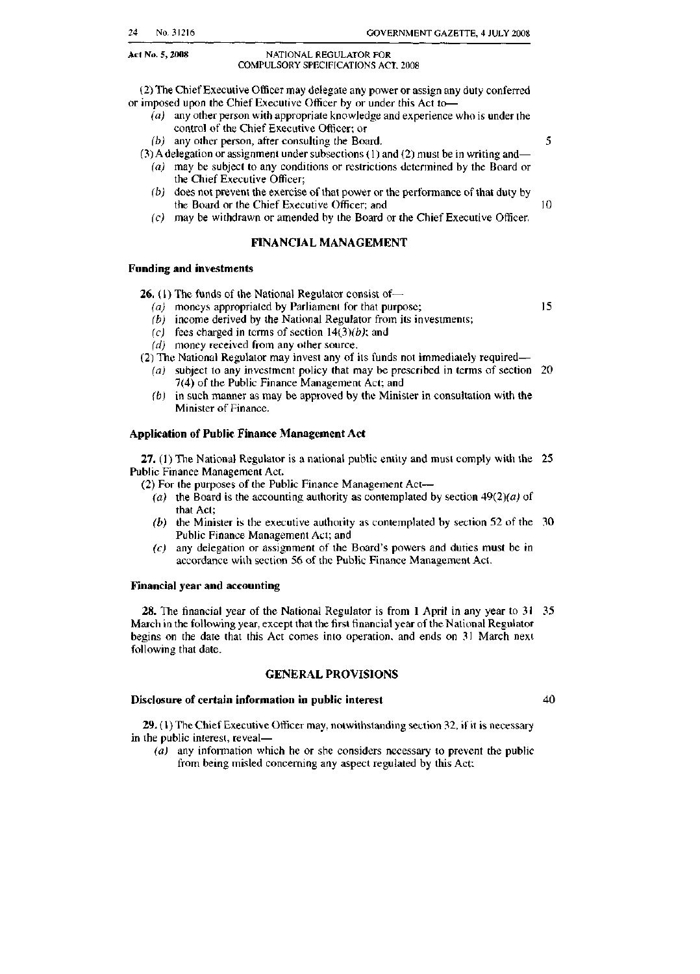Act No. *S,* 2OlI8

#### NATIONAL REGULATOR FOR COMPULSORY SPECIFICATIONS ACT, 2008

(2) The ChiefExecutive Officer may delegate any power or assign any duty conferred or imposed upon the Chief Executive Officer by or under this Act to-

- $(a)$  any other person with appropriate knowledge and experience who is under the control of the Chief Executive Officer; or
- (b) any other person, after consulting the Board.  $5$

 $(3)$  A delegation or assignment under subsections  $(1)$  and  $(2)$  must be in writing and-

- $(a)$  may be subject to any conditions or restrictions determined by the Board or the Chief Executive Officer;
- $(b)$  does not prevent the exercise of that power or the performance of that duty by the Board or the Chief Executive Officer; and 10
- (c) may be withdrawn or amended by the Board or the Chief Executive Officer.

#### FINANCIAL MANAGEMENT

#### Funding and investments

**26.** (1) The funds of the National Regulator consist of $-$ 

- *(a)* moneys appropriated by Parliament for that purpose; 15
- $(b)$  income derived by the National Regulator from its investments;
- (c) fees charged in terms of section  $14(3)(b)$ ; and
- (d) money received from any other source.

(2) The National Regulator may invest any of its funds not immediately required-

- (a) subject to any investment policy that may be prescribed in terms of section 20 7(4) of the Public Finance Management Act: and
- *(b)* in such manner as may be approved by the Minister in consultation with the Minister of Finance.

#### Application of Public Finance Management Act

27. (I) The National Regulator is a national public entity and must comply with the 25 Public Finance Management Act.

 $(2)$  For the purposes of the Public Finance Management Act--

- (a) the Board is the accounting authority as contemplated by section  $49(2)(a)$  of that Act;
- (b) the Minister is the executive authority as contemplated by section 52 of the  $30$ Public Finance Management Act; and
- $(c)$  any delegation or assignment of the Board's powers and duties must be in accordance with section 56 of the Public Finance Management Act

#### Financial year and accounting

28. The financial year of the National Regulator is from I April in any year to 31 35 March in the following year, except that the first financial year of the National Regulator begins on the date that this Act comes into operation. and ends on 31 March next following that date.

#### GENERAL PROVISIONS

#### Disclosure of certain information in public interest

29. (I) The Chief Executive Officer may, notwithstanding section 32, if it is necessary in the public interest. reveal-

(a) any information which he or she considers necessary to prevent the public from being misled concerning any aspect regulated by this Act:

40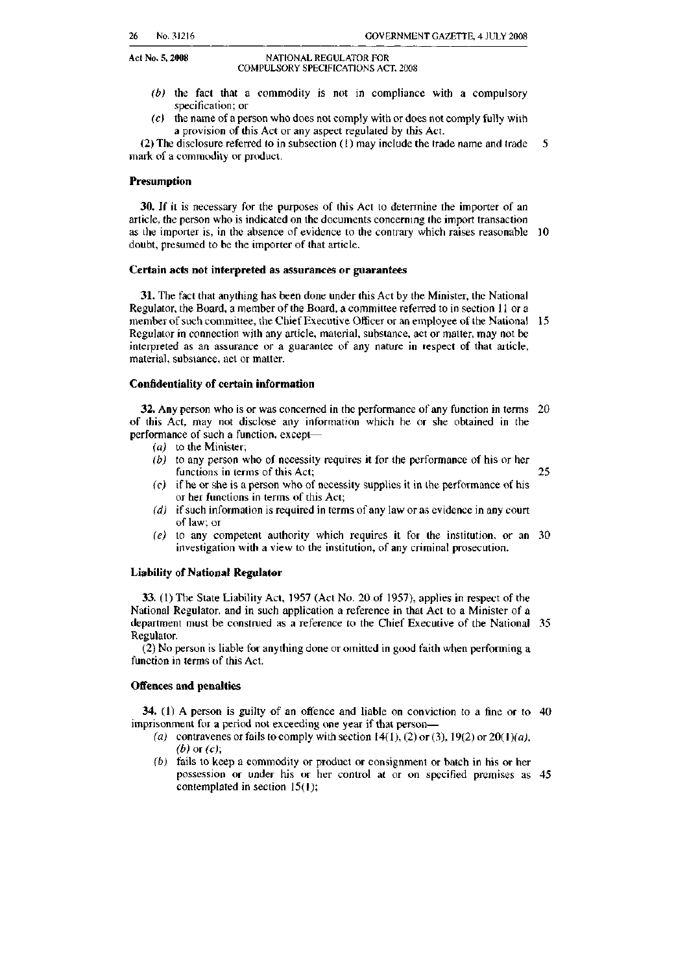#### Act No. 5, 2008 NATIONAL REGULATOR FOR COMPULSORY SPECIFICATIONS ACT. 2008

- *(b)* the faci that a commodity is not in compliance with a compulsory specification; or
- $(c)$  the name of a person who does not comply with or does not comply fully with a provision of this Act or any aspect regulated by Ihis ACI.

(2) The disclosure referred to in subsection (1) may include the trade name and trade  $-5$ mark of a commodity or product.

#### Presumption

30. If it is necessary for the purposes of this Act to determine the importer of an article, the person who is indicated on the documents concerning the import transaction as lhe importer is. in the absence of evidence to the contrary which raises reasonable 10 doubt, presumed to be the importer of that article.

#### Certain acts not interpreted as assurances or guarantees

 Regulator, the Board, a member of the Board, a committee referred to in section <sup>11</sup> or a 31. The fact that anything has been done under this Act by the Minister, the National member of such committee, the Chief Executive Officer or an employee of the National 15 Regulator in connection with any article, material, substance, act or matter, may not be interpreted as an assurance or a guarantee of any nature in respect of that article, material, substance, act or matter.

#### Confidentiality of certain information

32, Any person who is or was concerned in fhe performance of any function in terms 20 of this Act, may not disclose any information which he or she obtained in the performance of such a function, except-

- (a) to the Minister;
- (b) to any person who of necessity requires it for the performance of his or her functions in terms of this Act;  $25$
- $(c)$  if he or she is a person who of necessity supplies it in the performance of his or her functions in terms of this Act;
- $(d)$  if such information is required in terms of any law or as evidence in any court of law: or
- $(e)$  to any competent authority which requires it for the institution, or an 30 investigation with a view to the institution, of any criminal prosecution.

#### Liability of National Regulator

 National Regulator, and in such application a reference in that Act to a Minister of a 33, (I) The State Liability Act, 1957 (Act No. 20 of 1957), applies in respect of the department must be construed as a reference to the Chief Executive of the National 35 Regulator.

 (2) No person is liable for anything done or omitted in good faith when perfonning a function in terms of this Act.

#### Offences and penalties

34, (I) A person is guilty of an offence and liable on conviction to a fine or to 40 imprisonment for a period not exceeding one year if that person-

- (a) contravenes or fails to comply with section  $14(1)$ ,  $(2)$  or  $(3)$ ,  $19(2)$  or  $20(1)(a)$ ,  (b) or (c);
- $(b)$  fails to keep a commodity or product or consignment or batch in his or her possession or under his or her control at or on specified premises as 45 contemplated in section 15(1);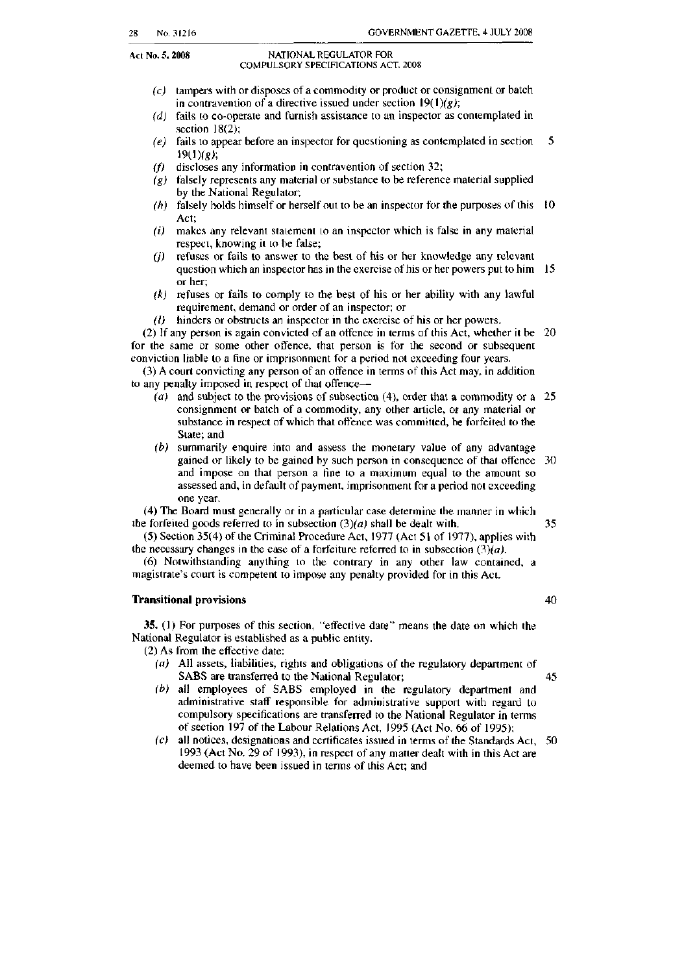#### Act No. *S. 2008* NATIONAL REGULATOR FOR COMPULSORY SPECIFICATIONS ACT. 2008

- (*C)* tampers with or disposes of a commodity or product or consignment or batch in contravention of a directive issued under section  $19(1)(g)$ ;
- $(d)$  fails to co-operate and furnish assistance to an inspector as contemplated in section  $18(2)$ ;
- (e) fails to appear before an inspector for questioning as contemplated in section 5 19(1)(g);
- *(f)* discloses any information in contravention of section 32;
- $(g)$  falsely represents any material or substance to be reference material supplied by the National Regulator:
- $(h)$  falsely holds himself or herself out to be an inspector for the purposes of this 10 Act;
- $(i)$  makes any relevant statement to an inspector which is false in any material respect, knowing it to be false;
- $(i)$  refuses or fails to answer to the best of his or her knowledge any relevant question which an inspector has in the exercise of his or her powers put to him I5 or her;
- *(k)* refuses or fails to comply to the best of his or her ability with any lawful requircment, demand or order of an inspector; or
- (f) hinders or obstructs an inspector in the exercise of his or her powers.

(2) If any person is again convicted of an offence in terms of this Act, whether it he 20 for the same or some other offence, that person is for the second or subsequent conviction liable to a fine or imprisonment for a period not exceeding four years.

(3) A courl convicting any person of an offence in terms of this Act may, in addition to any penalty imposed in respect of that offencc-

- (a) and subject to the provisions of subsection (4), order that a commodity or a 25 consignment or batch of a commodity, any other article, or any material or substance in respect of which that offence was committed, he forfeited to the State; and
- (b) summarily enquire into and assess the monetary value of any advantage gained or likely to be gained by such person in consequence of that offence 30 and impose on that person a fine to a maximum equal to the amount so assessed and, in default of payment. imprisonment for a period not exceeding one year.

(4) The Board must generally or in a particular case determine the manner in which the forfeited goods referred to in subsection  $(3)(a)$  shall be dealt with,  $35$ 

the necessary changes in the case of a forfeiture referred to in subsection  $(3)(a)$ . (5) Section 35(4) of the Criminal Procedure Act, 1977 (Act 51 of 1977), applies with

 (6) Notwithstanding anything to the conlrary in any other law contained, a magistrate's court is competent to impose any penalty provided for in this Act.

#### Transitional provisions 40

35. (I) For purposes of this section, "effective date" means the date on which the National Regulator is established as a public entity.

- (2) As from the effective date:
	- (a) All assets, liabilities, rights and obligations of the regulatory department of SABS are transferred to the National Regulator; 45
	- (b) all employees of SABS employed in the regulatory department and administrative staff responsible for administrative support with regard to compulsory specifications are transferred to the National Regulator in tenns of section 197 of the Labour Relations Act, 1995 (Act No. 66 of 1995);
	- (c) all notices, designations and certificates issued in terms of the Standards Act, 50 1993 (Act No. 29 of 1993), in respect of any mailer dealt with in this Act are deemed to have been issued in tenus of this Act; and